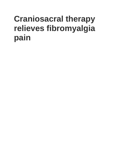## **Craniosacral therapy relieves fibromyalgia pain**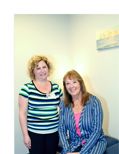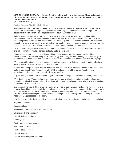## **LIFE CHANGING THERAPY — Valerie Destito, right, was living with constant fibromyalgia pain. Since beginning craniosacral therapy with Trista Richardson, MS, OTR, L, (left) Destito says her chronic pain is in control.** (PHOTO SUBMITTED)

Posted Tuesday, May 28, 2019 4:00 pm

Pain was in charge. That's how Valerie Destito of Rome describes the 16 years of her life before she discovered craniosacral therapy at Chestnut Commons Physical and Occupational Therapy. The department of Rome Memorial Hospital is located at 107 E. Chestnut St.

Valerie began her journey in October, 2002 when she was diagnosed with rheumatoid arthritis. Conventional medications were prescribed to treat her swollen and painful extremities, but one of her chief complaints, a burning pain across her back, arms, legs and face, went unresolved. She describes the extreme burning sensation to be worse than any sunburn she ever experienced, yet her skin was not burned. It wasn't until years later that these symptoms were identified as fibromyalgia.

"In 2002, fibromyalgia was relatively new and the symptoms of chronic pain similar to rheumatoid arthritis and other conditions made diagnosis difficult," Valerie explained.

Fibromyalgia symptoms include widespread body pain, fatigue, poor sleep and mood problems. According to the American College of Rheumatology, fibromyalgia cannot be diagnosed with x-rays or blood tests, but these tests may rule out other health problems that can be confused with fibromyalgia.

"The constant burning feeling was exhausting and wore me out," Valerie continued. "I had to adjust my work schedule because I just couldn't do it anymore."

"Stress made the pain worse, and the worse the pain was, the more stressed I became," she said. Then Valerie read about Trista Richardson, MS, OTR, L and craniosacral therapy on Facebook and immediately called her primary care physician for a referral.

"My life changed when I met Trista and began craniosacral therapy at Chestnut Commons," Valerie said.

"Prior to seeing me, Valerie suffered with fibromyalgia pain levels of seven to eight out of 10 and was attending a pain clinic to find relief," Richardson said. "Since receiving craniosacral therapy, she has been able to control her chronic pain.

Craniosacral therapy (CST) is a gentle, hands-on method of evaluating and enhancing the functioning of a physiological body system called the craniosacral system. This system is comprised of the membranes and cerebrospinal fluid that surround and protect the brain and spinal cord. The therapy focuses on the role the musculoskeletal system plays in the functioning of the nervous system and compliments the natural healing processes of the body.

CST has proven effective for a wide range of medical problems related to pain and dysfunction including:

Migraine headaches

Sinus problems

TMJ (Temporomandibular Joint Dysfunction)

Chronic neck and back pain

Chronic fatigue syndrome

Fibromyalgia

Post-traumatic stress disorder

Trauma of any kind

Post-surgical recovery

Chronic fatigue

Central nervous system disorders